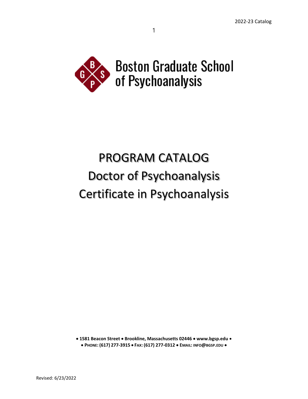

1

# PROGRAM CATALOG Doctor of Psychoanalysis Certificate in Psychoanalysis

• **1581 Beacon Street** • **Brookline, Massachusetts 02446** • **www.bgsp.edu** • • **PHONE: (617) 277-3915** • **FAX: (617) 277-0312** • **EMAIL: INFO@BGSP.EDU** •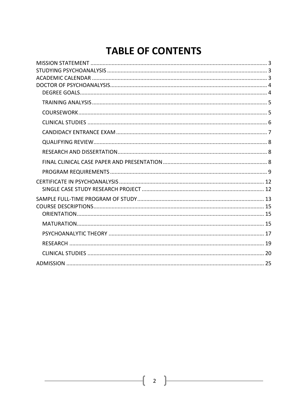# **TABLE OF CONTENTS**

 $\begin{bmatrix} 2 \end{bmatrix}$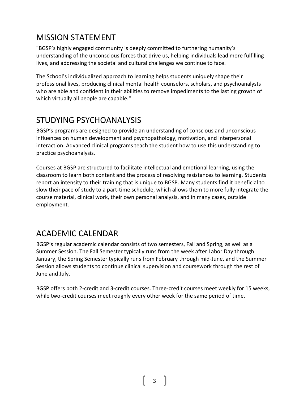# <span id="page-2-0"></span>MISSION STATEMENT

"BGSP's highly engaged community is deeply committed to furthering humanity's understanding of the unconscious forces that drive us, helping individuals lead more fulfilling lives, and addressing the societal and cultural challenges we continue to face.

The School's individualized approach to learning helps students uniquely shape their professional lives, producing clinical mental health counselors, scholars, and psychoanalysts who are able and confident in their abilities to remove impediments to the lasting growth of which virtually all people are capable."

# <span id="page-2-1"></span>STUDYING PSYCHOANALYSIS

BGSP's programs are designed to provide an understanding of conscious and unconscious influences on human development and psychopathology, motivation, and interpersonal interaction. Advanced clinical programs teach the student how to use this understanding to practice psychoanalysis.

Courses at BGSP are structured to facilitate intellectual and emotional learning, using the classroom to learn both content and the process of resolving resistances to learning. Students report an intensity to their training that is unique to BGSP. Many students find it beneficial to slow their pace of study to a part-time schedule, which allows them to more fully integrate the course material, clinical work, their own personal analysis, and in many cases, outside employment.

# <span id="page-2-2"></span>ACADEMIC CALENDAR

BGSP's regular academic calendar consists of two semesters, Fall and Spring, as well as a Summer Session. The Fall Semester typically runs from the week after Labor Day through January, the Spring Semester typically runs from February through mid-June, and the Summer Session allows students to continue clinical supervision and coursework through the rest of June and July.

BGSP offers both 2-credit and 3-credit courses. Three-credit courses meet weekly for 15 weeks, while two-credit courses meet roughly every other week for the same period of time.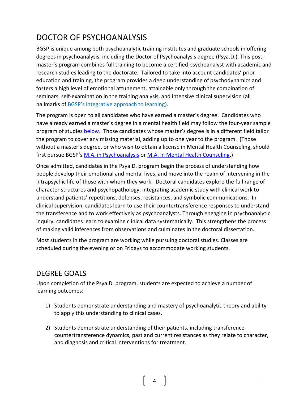# <span id="page-3-0"></span>DOCTOR OF PSYCHOANALYSIS

BGSP is unique among both psychoanalytic training institutes and graduate schools in offering degrees in psychoanalysis, including the Doctor of Psychoanalysis degree (Psya.D.). This postmaster's program combines full training to become a certified psychoanalyst with academic and research studies leading to the doctorate. Tailored to take into account candidates' prior education and training, the program provides a deep understanding of psychodynamics and fosters a high level of emotional attunement, attainable only through the combination of seminars, self-examination in the training analysis, and intensive clinical supervision (all hallmarks of [BGSP's integrative approach to learning](http://www.bgsp.edu/academics/the-learning-process/)).

The program is open to all candidates who have earned a master's degree. Candidates who have already earned a master's degree in a mental health field may follow the four-year sample program of studies [below.](#page-12-0) Those candidates whose master's degree is in a different field tailor the program to cover any missing material, adding up to one year to the program. (Those without a master's degree, or who wish to obtain a license in Mental Health Counseling, should first pursue BGSP's [M.A. in Psychoanalysis](https://bgsp.edu/academics/m-a-in-psychoanalysis/) o[r M.A. in Mental Health Counseling.](https://bgsp.edu/academics/m-a-in-mental-health-counseling/))

Once admitted, candidates in the Psya.D. program begin the process of understanding how people develop their emotional and mental lives, and move into the realm of intervening in the intrapsychic life of those with whom they work. Doctoral candidates explore the full range of character structures and psychopathology, integrating academic study with clinical work to understand patients' repetitions, defenses, resistances, and symbolic communications. In clinical supervision, candidates learn to use their countertransference responses to understand the transference and to work effectively as psychoanalysts. Through engaging in psychoanalytic inquiry, candidates learn to examine clinical data systematically. This strengthens the process of making valid inferences from observations and culminates in the doctoral dissertation.

Most students in the program are working while pursuing doctoral studies. Classes are scheduled during the evening or on Fridays to accommodate working students.

# <span id="page-3-1"></span>DEGREE GOALS

Upon completion of the Psya.D. program, students are expected to achieve a number of learning outcomes:

- 1) Students demonstrate understanding and mastery of psychoanalytic theory and ability to apply this understanding to clinical cases.
- 2) Students demonstrate understanding of their patients, including transferencecountertransference dynamics, past and current resistances as they relate to character, and diagnosis and critical interventions for treatment.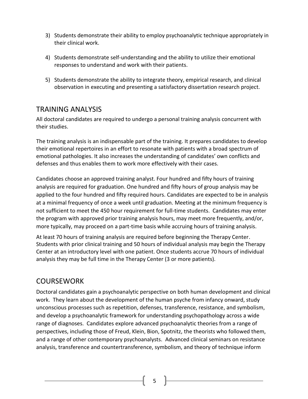- 3) Students demonstrate their ability to employ psychoanalytic technique appropriately in their clinical work.
- 4) Students demonstrate self-understanding and the ability to utilize their emotional responses to understand and work with their patients.
- 5) Students demonstrate the ability to integrate theory, empirical research, and clinical observation in executing and presenting a satisfactory dissertation research project.

# <span id="page-4-0"></span>TRAINING ANALYSIS

All doctoral candidates are required to undergo a personal training analysis concurrent with their studies.

The training analysis is an indispensable part of the training. It prepares candidates to develop their emotional repertoires in an effort to resonate with patients with a broad spectrum of emotional pathologies. It also increases the understanding of candidates' own conflicts and defenses and thus enables them to work more effectively with their cases.

Candidates choose an approved training analyst. Four hundred and fifty hours of training analysis are required for graduation. One hundred and fifty hours of group analysis may be applied to the four hundred and fifty required hours. Candidates are expected to be in analysis at a minimal frequency of once a week until graduation. Meeting at the minimum frequency is not sufficient to meet the 450 hour requirement for full-time students. Candidates may enter the program with approved prior training analysis hours, may meet more frequently, and/or, more typically, may proceed on a part-time basis while accruing hours of training analysis.

At least 70 hours of training analysis are required before beginning the Therapy Center. Students with prior clinical training and 50 hours of individual analysis may begin the Therapy Center at an introductory level with one patient. Once students accrue 70 hours of individual analysis they may be full time in the Therapy Center (3 or more patients).

# <span id="page-4-1"></span>COURSEWORK

Doctoral candidates gain a psychoanalytic perspective on both human development and clinical work. They learn about the development of the human psyche from infancy onward, study unconscious processes such as repetition, defenses, transference, resistance, and symbolism, and develop a psychoanalytic framework for understanding psychopathology across a wide range of diagnoses. Candidates explore advanced psychoanalytic theories from a range of perspectives, including those of Freud, Klein, Bion, Spotnitz, the theorists who followed them, and a range of other contemporary psychoanalysts. Advanced clinical seminars on resistance analysis, transference and countertransference, symbolism, and theory of technique inform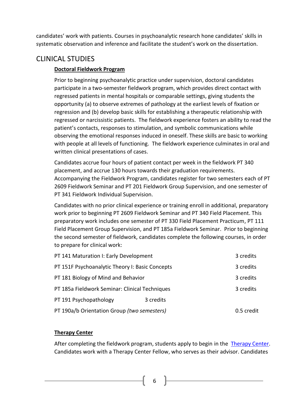candidates' work with patients. Courses in psychoanalytic research hone candidates' skills in systematic observation and inference and facilitate the student's work on the dissertation.

# <span id="page-5-0"></span>CLINICAL STUDIES

# **Doctoral Fieldwork Program**

Prior to beginning psychoanalytic practice under supervision, doctoral candidates participate in a two-semester fieldwork program, which provides direct contact with regressed patients in mental hospitals or comparable settings, giving students the opportunity (a) to observe extremes of pathology at the earliest levels of fixation or regression and (b) develop basic skills for establishing a therapeutic relationship with regressed or narcissistic patients. The fieldwork experience fosters an ability to read the patient's contacts, responses to stimulation, and symbolic communications while observing the emotional responses induced in oneself. These skills are basic to working with people at all levels of functioning. The fieldwork experience culminates in oral and written clinical presentations of cases.

Candidates accrue four hours of patient contact per week in the fieldwork PT 340 placement, and accrue 130 hours towards their graduation requirements. Accompanying the Fieldwork Program, candidates register for two semesters each of PT 2609 Fieldwork Seminar and PT 201 Fieldwork Group Supervision, and one semester of PT 341 Fieldwork Individual Supervision.

Candidates with no prior clinical experience or training enroll in additional, preparatory work prior to beginning PT 2609 Fieldwork Seminar and PT 340 Field Placement. This preparatory work includes one semester of PT 330 Field Placement Practicum, PT 111 Field Placement Group Supervision, and PT 185a Fieldwork Seminar. Prior to beginning the second semester of fieldwork, candidates complete the following courses, in order to prepare for clinical work:

| PT 141 Maturation I: Early Development          |           | 3 credits  |
|-------------------------------------------------|-----------|------------|
| PT 151F Psychoanalytic Theory I: Basic Concepts |           | 3 credits  |
| PT 181 Biology of Mind and Behavior             |           | 3 credits  |
| PT 185a Fieldwork Seminar: Clinical Techniques  |           | 3 credits  |
| PT 191 Psychopathology                          | 3 credits |            |
| PT 190a/b Orientation Group (two semesters)     |           | 0.5 credit |

# **Therapy Center**

After completing the fieldwork program, students apply to begin in the [Therapy C](https://talk-therapy.org/)enter. Candidates work with a Therapy Center Fellow, who serves as their advisor. Candidates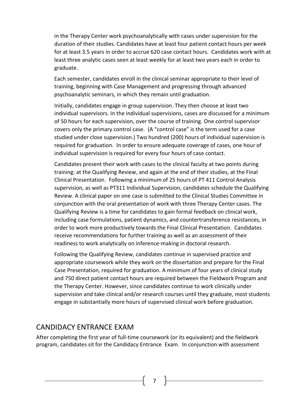in the Therapy Center work psychoanalytically with cases under supervision for the duration of their studies. Candidates have at least four patient contact hours per week for at least 3.5 years in order to accrue 620 case contact hours. Candidates work with at least three analytic cases seen at least weekly for at least two years each in order to graduate.

Each semester, candidates enroll in the clinical seminar appropriate to their level of training, beginning with Case Management and progressing through advanced psychoanalytic seminars, in which they remain until graduation.

Initially, candidates engage in group supervision. They then choose at least two individual supervisors. In the individual supervisions, cases are discussed for a minimum of 50 hours for each supervision, over the course of training. One control supervisor covers only the primary control case. (A "control case" is the term used for a case studied under close supervision.) Two hundred (200) hours of individual supervision is required for graduation. In order to ensure adequate coverage of cases, one hour of individual supervision is required for every four hours of case contact.

Candidates present their work with cases to the clinical faculty at two points during training: at the Qualifying Review, and again at the end of their studies, at the Final Clinical Presentation. Following a minimum of 25 hours of PT 411 Control Analysis supervision, as well as PT311 Individual Supervision, candidates schedule the Qualifying Review. A clinical paper on one case is submitted to the Clinical Studies Committee in conjunction with the oral presentation of work with three Therapy Center cases. The Qualifying Review is a time for candidates to gain formal feedback on clinical work, including case formulations, patient dynamics, and countertransference resistances, in order to work more productively towards the Final Clinical Presentation. Candidates receive recommendations for further training as well as an assessment of their readiness to work analytically on inference-making in doctoral research.

Following the Qualifying Review, candidates continue in supervised practice and appropriate coursework while they work on the dissertation and prepare for the Final Case Presentation, required for graduation. A minimum of four years of clinical study and 750 direct patient contact hours are required between the Fieldwork Program and the Therapy Center. However, since candidates continue to work clinically under supervision and take clinical and/or research courses until they graduate, most students engage in substantially more hours of supervised clinical work before graduation.

# <span id="page-6-0"></span>CANDIDACY ENTRANCE EXAM

After completing the first year of full-time coursework (or its equivalent) and the fieldwork program, candidates sit for the Candidacy Entrance Exam. In conjunction with assessment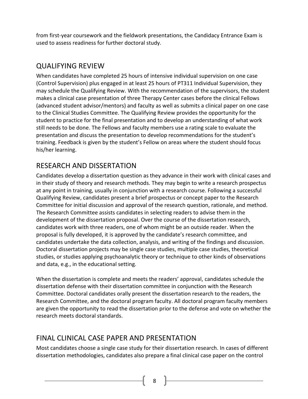from first-year coursework and the fieldwork presentations, the Candidacy Entrance Exam is used to assess readiness for further doctoral study.

# <span id="page-7-0"></span>QUALIFYING REVIEW

When candidates have completed 25 hours of intensive individual supervision on one case (Control Supervision) plus engaged in at least 25 hours of PT311 Individual Supervision, they may schedule the Qualifying Review. With the recommendation of the supervisors, the student makes a clinical case presentation of three Therapy Center cases before the clinical Fellows (advanced student advisor/mentors) and faculty as well as submits a clinical paper on one case to the Clinical Studies Committee. The Qualifying Review provides the opportunity for the student to practice for the final presentation and to develop an understanding of what work still needs to be done. The Fellows and faculty members use a rating scale to evaluate the presentation and discuss the presentation to develop recommendations for the student's training. Feedback is given by the student's Fellow on areas where the student should focus his/her learning.

# <span id="page-7-1"></span>RESEARCH AND DISSERTATION

Candidates develop a dissertation question as they advance in their work with clinical cases and in their study of theory and research methods. They may begin to write a research prospectus at any point in training, usually in conjunction with a research course. Following a successful Qualifying Review, candidates present a brief prospectus or concept paper to the Research Committee for initial discussion and approval of the research question, rationale, and method. The Research Committee assists candidates in selecting readers to advise them in the development of the dissertation proposal. Over the course of the dissertation research, candidates work with three readers, one of whom might be an outside reader. When the proposal is fully developed, it is approved by the candidate's research committee, and candidates undertake the data collection, analysis, and writing of the findings and discussion. Doctoral dissertation projects may be single case studies, multiple case studies, theoretical studies, or studies applying psychoanalytic theory or technique to other kinds of observations and data, e.g., in the educational setting.

When the dissertation is complete and meets the readers' approval, candidates schedule the dissertation defense with their dissertation committee in conjunction with the Research Committee. Doctoral candidates orally present the dissertation research to the readers, the Research Committee, and the doctoral program faculty. All doctoral program faculty members are given the opportunity to read the dissertation prior to the defense and vote on whether the research meets doctoral standards.

# <span id="page-7-2"></span>FINAL CLINICAL CASE PAPER AND PRESENTATION

Most candidates choose a single case study for their dissertation research. In cases of different dissertation methodologies, candidates also prepare a final clinical case paper on the control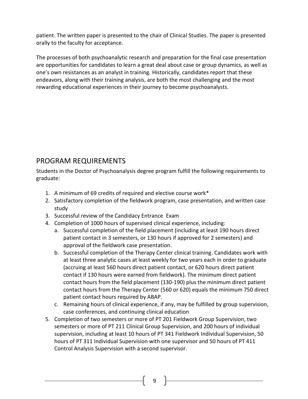patient. The written paper is presented to the chair of Clinical Studies. The paper is presented orally to the faculty for acceptance.

The processes of both psychoanalytic research and preparation for the final case presentation are opportunities for candidates to learn a great deal about case or group dynamics, as well as one's own resistances as an analyst in training. Historically, candidates report that these endeavors, along with their training analysis, are both the most challenging and the most rewarding educational experiences in their journey to become psychoanalysts.

# <span id="page-8-0"></span>PROGRAM REQUIREMENTS

Students in the Doctor of Psychoanalysis degree program fulfill the following requirements to graduate:

- 1. A minimum of 69 credits of required and elective course work\*
- 2. Satisfactory completion of the fieldwork program, case presentation, and written case study
- 3. Successful review of the Candidacy Entrance Exam
- 4. Completion of 1000 hours of supervised clinical experience, including:
	- a. Successful completion of the field placement (including at least 190 hours direct patient contact in 3 semesters, or 130 hours if approved for 2 semesters) and approval of the fieldwork case presentation.
	- b. Successful completion of the Therapy Center clinical training. Candidates work with at least three analytic cases at least weekly for two years each in order to graduate (accruing at least 560 hours direct patient contact, or 620 hours direct patient contact if 130 hours were earned from fieldwork). The minimum direct patient contact hours from the field placement (130-190) plus the minimum direct patient contact hours from the Therapy Center (560 or 620) equals the minimum 750 direct patient contact hours required by ABAP.
	- c. Remaining hours of clinical experience, if any, may be fulfilled by group supervision, case conferences, and continuing clinical education
- 5. Completion of two semesters or more of PT 201 Fieldwork Group Supervision, two semesters or more of PT 211 Clinical Group Supervision, and 200 hours of individual supervision, including at least 10 hours of PT 341 Fieldwork Individual Supervision, 50 hours of PT 311 Individual Supervision with one supervisor and 50 hours of PT 411 Control Analysis Supervision with a second supervisor.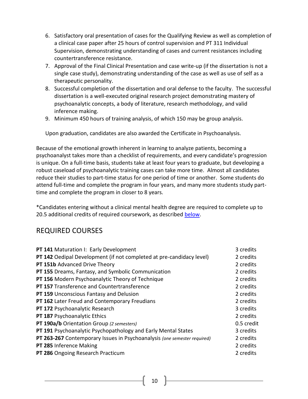- 6. Satisfactory oral presentation of cases for the Qualifying Review as well as completion of a clinical case paper after 25 hours of control supervision and PT 311 Individual Supervision, demonstrating understanding of cases and current resistances including countertransference resistance.
- 7. Approval of the Final Clinical Presentation and case write-up (if the dissertation is not a single case study), demonstrating understanding of the case as well as use of self as a therapeutic personality.
- 8. Successful completion of the dissertation and oral defense to the faculty. The successful dissertation is a well-executed original research project demonstrating mastery of psychoanalytic concepts, a body of literature, research methodology, and valid inference making.
- 9. Minimum 450 hours of training analysis, of which 150 may be group analysis.

Upon graduation, candidates are also awarded the Certificate in Psychoanalysis.

Because of the emotional growth inherent in learning to analyze patients, becoming a psychoanalyst takes more than a checklist of requirements, and every candidate's progression is unique. On a full-time basis, students take at least four years to graduate, but developing a robust caseload of psychoanalytic training cases can take more time. Almost all candidates reduce their studies to part-time status for one period of time or another. Some students do attend full-time and complete the program in four years, and many more students study parttime and complete the program in closer to 8 years.

\*Candidates entering without a clinical mental health degree are required to complete up to 20.5 additional credits of required coursework, as described [below.](#page-11-2)

# REQUIRED COURSES

| PT 141 Maturation I: Early Development                                      | 3 credits  |
|-----------------------------------------------------------------------------|------------|
| <b>PT 142</b> Oedipal Development (if not completed at pre-candidacy level) | 2 credits  |
| PT 151b Advanced Drive Theory                                               | 2 credits  |
| PT 155 Dreams, Fantasy, and Symbolic Communication                          | 2 credits  |
| PT 156 Modern Psychoanalytic Theory of Technique                            | 2 credits  |
| PT 157 Transference and Countertransference                                 | 2 credits  |
| <b>PT 159 Unconscious Fantasy and Delusion</b>                              | 2 credits  |
| PT 162 Later Freud and Contemporary Freudians                               | 2 credits  |
| PT 172 Psychoanalytic Research                                              | 3 credits  |
| PT 187 Psychoanalytic Ethics                                                | 2 credits  |
| PT 190a/b Orientation Group (2 semesters)                                   | 0.5 credit |
| PT 191 Psychoanalytic Psychopathology and Early Mental States               | 3 credits  |
| PT 263-267 Contemporary Issues in Psychoanalysis (one semester required)    | 2 credits  |
| PT 285 Inference Making                                                     | 2 credits  |
| PT 286 Ongoing Research Practicum                                           | 2 credits  |
|                                                                             |            |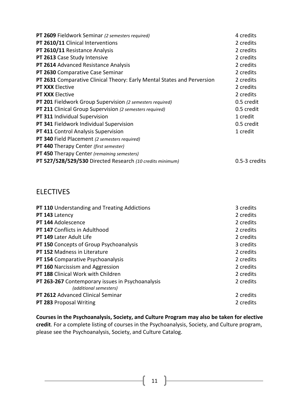| <b>PT 2609</b> Fieldwork Seminar (2 semesters required)                 | 4 credits     |
|-------------------------------------------------------------------------|---------------|
| PT 2610/11 Clinical Interventions                                       | 2 credits     |
| PT 2610/11 Resistance Analysis                                          | 2 credits     |
| PT 2613 Case Study Intensive                                            | 2 credits     |
| PT 2614 Advanced Resistance Analysis                                    | 2 credits     |
| PT 2630 Comparative Case Seminar                                        | 2 credits     |
| PT 2631 Comparative Clinical Theory: Early Mental States and Perversion | 2 credits     |
| PT XXX Elective                                                         | 2 credits     |
| <b>PT XXX Elective</b>                                                  | 2 credits     |
| PT 201 Fieldwork Group Supervision (2 semesters required)               | 0.5 credit    |
| <b>PT 211</b> Clinical Group Supervision (2 semesters required)         | 0.5 credit    |
| PT 311 Individual Supervision                                           | 1 credit      |
| PT 341 Fieldwork Individual Supervision                                 | 0.5 credit    |
| PT 411 Control Analysis Supervision                                     | 1 credit      |
| PT 340 Field Placement (2 semesters required)                           |               |
| <b>PT 440 Therapy Center (first semester)</b>                           |               |
| PT 450 Therapy Center (remaining semesters)                             |               |
| PT 527/528/529/530 Directed Research (10 credits minimum)               | 0.5-3 credits |

# **ELECTIVES**

| PT 110 Understanding and Treating Addictions                               | 3 credits |
|----------------------------------------------------------------------------|-----------|
| PT 143 Latency                                                             | 2 credits |
| PT 144 Adolescence                                                         | 2 credits |
| PT 147 Conflicts in Adulthood                                              | 2 credits |
| <b>PT 149 Later Adult Life</b>                                             | 2 credits |
| <b>PT 150 Concepts of Group Psychoanalysis</b>                             | 3 credits |
| <b>PT 152 Madness in Literature</b>                                        | 2 credits |
| PT 154 Comparative Psychoanalysis                                          | 2 credits |
| PT 160 Narcissism and Aggression                                           | 2 credits |
| <b>PT 188 Clinical Work with Children</b>                                  | 2 credits |
| PT 263-267 Contemporary issues in Psychoanalysis<br>(additional semesters) | 2 credits |
| PT 2612 Advanced Clinical Seminar                                          | 2 credits |
| <b>PT 283 Proposal Writing</b>                                             | 2 credits |

**Courses in the Psychoanalysis, Society, and Culture Program may also be taken for elective credit**. For a complete listing of courses in the Psychoanalysis, Society, and Culture program, please see the Psychoanalysis, Society, and Culture Catalog.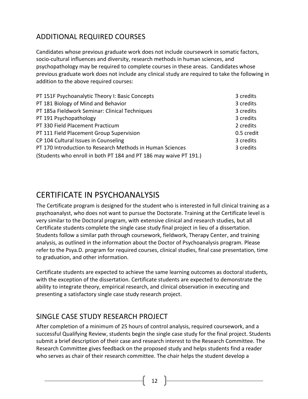# <span id="page-11-2"></span>ADDITIONAL REQUIRED COURSES

Candidates whose previous graduate work does not include coursework in somatic factors, socio-cultural influences and diversity, research methods in human sciences, and psychopathology may be required to complete courses in these areas. Candidates whose previous graduate work does not include any clinical study are required to take the following in addition to the above required courses:

| PT 151F Psychoanalytic Theory I: Basic Concepts                   | 3 credits  |
|-------------------------------------------------------------------|------------|
| PT 181 Biology of Mind and Behavior                               | 3 credits  |
| PT 185a Fieldwork Seminar: Clinical Techniques                    | 3 credits  |
| PT 191 Psychopathology                                            | 3 credits  |
| PT 330 Field Placement Practicum                                  | 2 credits  |
| PT 111 Field Placement Group Supervision                          | 0.5 credit |
| CP 104 Cultural Issues in Counseling                              | 3 credits  |
| PT 170 Introduction to Research Methods in Human Sciences         | 3 credits  |
| (Students who enroll in both PT 184 and PT 186 may waive PT 191.) |            |

# <span id="page-11-0"></span>CERTIFICATE IN PSYCHOANALYSIS

The Certificate program is designed for the student who is interested in full clinical training as a psychoanalyst, who does not want to pursue the Doctorate. Training at the Certificate level is very similar to the Doctoral program, with extensive clinical and research studies, but all Certificate students complete the single case study final project in lieu of a dissertation. Students follow a similar path through coursework, fieldwork, Therapy Center, and training analysis, as outlined in the information about the Doctor of Psychoanalysis program. Please refer to the Psya.D. program for required courses, clinical studies, final case presentation, time to graduation, and other information.

Certificate students are expected to achieve the same learning outcomes as doctoral students, with the exception of the dissertation. Certificate students are expected to demonstrate the ability to integrate theory, empirical research, and clinical observation in executing and presenting a satisfactory single case study research project.

# <span id="page-11-1"></span>SINGLE CASE STUDY RESEARCH PROJECT

After completion of a minimum of 25 hours of control analysis, required coursework, and a successful Qualifying Review, students begin the single case study for the final project. Students submit a brief description of their case and research interest to the Research Committee. The Research Committee gives feedback on the proposed study and helps students find a reader who serves as chair of their research committee. The chair helps the student develop a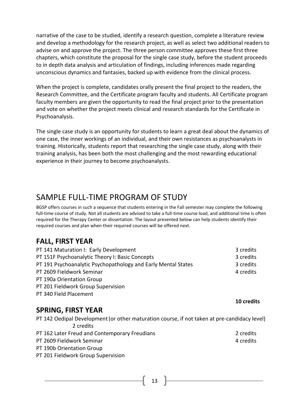narrative of the case to be studied, identify a research question, complete a literature review and develop a methodology for the research project, as well as select two additional readers to advise on and approve the project. The three person committee approves these first three chapters, which constitute the proposal for the single case study, before the student proceeds to in depth data analysis and articulation of findings, including inferences made regarding unconscious dynamics and fantasies, backed up with evidence from the clinical process.

When the project is complete, candidates orally present the final project to the readers, the Research Committee, and the Certificate program faculty and students. All Certificate program faculty members are given the opportunity to read the final project prior to the presentation and vote on whether the project meets clinical and research standards for the Certificate in Psychoanalysis.

The single case study is an opportunity for students to learn a great deal about the dynamics of one case, the inner workings of an individual, and their own resistances as psychoanalysts in training. Historically, students report that researching the single case study, along with their training analysis, has been both the most challenging and the most rewarding educational experience in their journey to become psychoanalysts.

# <span id="page-12-0"></span>SAMPLE FULL-TIME PROGRAM OF STUDY

BGSP offers courses in such a sequence that students entering in the Fall semester may complete the following full-time course of study. Not all students are advised to take a full-time course load, and additional time is often required for the Therapy Center or dissertation. The layout presented below can help students identify their required courses and plan when their required courses will be offered next.

# **FALL, FIRST YEAR**

| PT 141 Maturation I: Early Development                        | 3 credits |
|---------------------------------------------------------------|-----------|
| PT 151F Psychoanalytic Theory I: Basic Concepts               | 3 credits |
| PT 191 Psychoanalytic Psychopathology and Early Mental States | 3 credits |
| PT 2609 Fieldwork Seminar                                     | 4 credits |
| PT 190a Orientation Group                                     |           |
| PT 201 Fieldwork Group Supervision                            |           |
| PT 340 Field Placement                                        |           |

# **SPRING, FIRST YEAR**

PT 142 Oedipal Development(or other maturation course, if not taken at pre-candidacy level) 2 credits PT 162 Later Freud and Contemporary Freudians 2 credits 2 credits PT 2609 Fieldwork Seminar 1 and 2008 and 2009 Fieldwork Seminar 1 and 2009 and 2009 and 2009 and 2009 and 2009 PT 190b Orientation Group PT 201 Fieldwork Group Supervision

 **10 credits**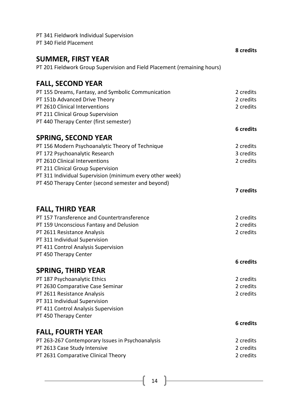| PT 341 Fieldwork Individual Supervision                                  |                        |
|--------------------------------------------------------------------------|------------------------|
| PT 340 Field Placement                                                   |                        |
|                                                                          | 8 credits              |
| <b>SUMMER, FIRST YEAR</b>                                                |                        |
| PT 201 Fieldwork Group Supervision and Field Placement (remaining hours) |                        |
| <b>FALL, SECOND YEAR</b>                                                 |                        |
| PT 155 Dreams, Fantasy, and Symbolic Communication                       | 2 credits              |
| PT 151b Advanced Drive Theory                                            | 2 credits              |
| PT 2610 Clinical Interventions                                           | 2 credits              |
| PT 211 Clinical Group Supervision                                        |                        |
| PT 440 Therapy Center (first semester)                                   |                        |
|                                                                          | 6 credits              |
| <b>SPRING, SECOND YEAR</b>                                               |                        |
| PT 156 Modern Psychoanalytic Theory of Technique                         | 2 credits              |
| PT 172 Psychoanalytic Research                                           | 3 credits              |
| PT 2610 Clinical Interventions                                           | 2 credits              |
| PT 211 Clinical Group Supervision                                        |                        |
| PT 311 Individual Supervision (minimum every other week)                 |                        |
| PT 450 Therapy Center (second semester and beyond)                       |                        |
|                                                                          | 7 credits              |
|                                                                          |                        |
| <b>FALL, THIRD YEAR</b>                                                  |                        |
| PT 157 Transference and Countertransference                              | 2 credits              |
| PT 159 Unconscious Fantasy and Delusion                                  | 2 credits              |
| PT 2611 Resistance Analysis                                              | 2 credits              |
| PT 311 Individual Supervision<br>PT 411 Control Analysis Supervision     |                        |
| PT 450 Therapy Center                                                    |                        |
|                                                                          | 6 credits              |
|                                                                          |                        |
| <b>SPRING, THIRD YEAR</b>                                                |                        |
| PT 187 Psychoanalytic Ethics                                             | 2 credits<br>2 credits |
| PT 2630 Comparative Case Seminar<br>PT 2611 Resistance Analysis          | 2 credits              |
| PT 311 Individual Supervision                                            |                        |
| PT 411 Control Analysis Supervision                                      |                        |
| PT 450 Therapy Center                                                    |                        |
|                                                                          | 6 credits              |
|                                                                          |                        |
| <b>FALL, FOURTH YEAR</b>                                                 |                        |
| PT 263-267 Contemporary Issues in Psychoanalysis                         | 2 credits<br>2 credits |
| PT 2613 Case Study Intensive<br>PT 2631 Comparative Clinical Theory      | 2 credits              |
|                                                                          |                        |

 $\left(14\right)$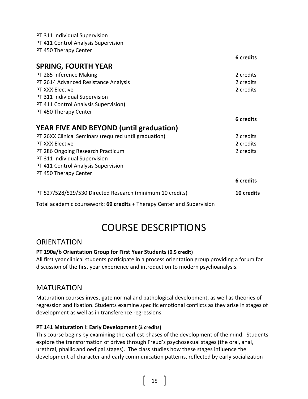PT 311 Individual Supervision PT 411 Control Analysis Supervision PT 450 Therapy Center

|                                                                        | 6 credits  |
|------------------------------------------------------------------------|------------|
| <b>SPRING, FOURTH YEAR</b>                                             |            |
| PT 285 Inference Making                                                | 2 credits  |
| PT 2614 Advanced Resistance Analysis                                   | 2 credits  |
| PT XXX Elective                                                        | 2 credits  |
| PT 311 Individual Supervision                                          |            |
| PT 411 Control Analysis Supervision)                                   |            |
| PT 450 Therapy Center                                                  |            |
|                                                                        | 6 credits  |
| <b>YEAR FIVE AND BEYOND (until graduation)</b>                         |            |
| PT 26XX Clinical Seminars (required until graduation)                  | 2 credits  |
| PT XXX Elective                                                        | 2 credits  |
| PT 286 Ongoing Research Practicum                                      | 2 credits  |
| PT 311 Individual Supervision                                          |            |
| PT 411 Control Analysis Supervision                                    |            |
| PT 450 Therapy Center                                                  |            |
|                                                                        | 6 credits  |
| PT 527/528/529/530 Directed Research (minimum 10 credits)              | 10 credits |
| Total academic coursework: 69 credits + Therapy Center and Supervision |            |

# COURSE DESCRIPTIONS

# <span id="page-14-1"></span><span id="page-14-0"></span>**ORIENTATION**

# **PT 190a/b Orientation Group for First Year Students (0.5 credit)**

All first year clinical students participate in a process orientation group providing a forum for discussion of the first year experience and introduction to modern psychoanalysis.

# <span id="page-14-2"></span>MATURATION

Maturation courses investigate normal and pathological development, as well as theories of regression and fixation. Students examine specific emotional conflicts as they arise in stages of development as well as in transference regressions.

# **PT 141 Maturation I: Early Development (3 credits)**

This course begins by examining the earliest phases of the development of the mind. Students explore the transformation of drives through Freud's psychosexual stages (the oral, anal, urethral, phallic and oedipal stages). The class studies how these stages influence the development of character and early communication patterns, reflected by early socialization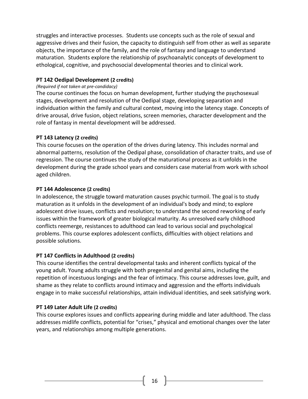struggles and interactive processes. Students use concepts such as the role of sexual and aggressive drives and their fusion, the capacity to distinguish self from other as well as separate objects, the importance of the family, and the role of fantasy and language to understand maturation. Students explore the relationship of psychoanalytic concepts of development to ethological, cognitive, and psychosocial developmental theories and to clinical work.

### **PT 142 Oedipal Development (2 credits)**

#### *(Required if not taken at pre-candidacy)*

The course continues the focus on human development, further studying the psychosexual stages, development and resolution of the Oedipal stage, developing separation and individuation within the family and cultural context, moving into the latency stage. Concepts of drive arousal, drive fusion, object relations, screen memories, character development and the role of fantasy in mental development will be addressed.

#### **PT 143 Latency (2 credits)**

This course focuses on the operation of the drives during latency. This includes normal and abnormal patterns, resolution of the Oedipal phase, consolidation of character traits, and use of regression. The course continues the study of the maturational process as it unfolds in the development during the grade school years and considers case material from work with school aged children.

#### **PT 144 Adolescence (2 credits)**

In adolescence, the struggle toward maturation causes psychic turmoil. The goal is to study maturation as it unfolds in the development of an individual's body and mind; to explore adolescent drive issues, conflicts and resolution; to understand the second reworking of early issues within the framework of greater biological maturity. As unresolved early childhood conflicts reemerge, resistances to adulthood can lead to various social and psychological problems. This course explores adolescent conflicts, difficulties with object relations and possible solutions.

# **PT 147 Conflicts in Adulthood (2 credits)**

This course identifies the central developmental tasks and inherent conflicts typical of the young adult. Young adults struggle with both pregenital and genital aims, including the repetition of incestuous longings and the fear of intimacy. This course addresses love, guilt, and shame as they relate to conflicts around intimacy and aggression and the efforts individuals engage in to make successful relationships, attain individual identities, and seek satisfying work.

# **PT 149 Later Adult Life (2 credits)**

This course explores issues and conflicts appearing during middle and later adulthood. The class addresses midlife conflicts, potential for "crises," physical and emotional changes over the later years, and relationships among multiple generations.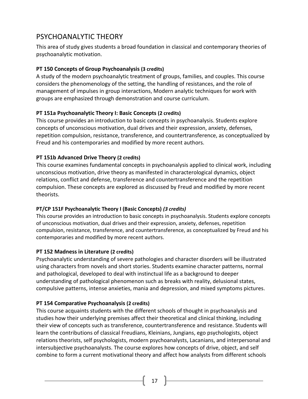# <span id="page-16-0"></span>PSYCHOANALYTIC THEORY

This area of study gives students a broad foundation in classical and contemporary theories of psychoanalytic motivation.

# **PT 150 Concepts of Group Psychoanalysis (3 credits)**

A study of the modern psychoanalytic treatment of groups, families, and couples. This course considers the phenomenology of the setting, the handling of resistances, and the role of management of impulses in group interactions, Modern analytic techniques for work with groups are emphasized through demonstration and course curriculum.

# **PT 151a Psychoanalytic Theory I: Basic Concepts (2 credits)**

This course provides an introduction to basic concepts in psychoanalysis. Students explore concepts of unconscious motivation, dual drives and their expression, anxiety, defenses, repetition compulsion, resistance, transference, and countertransference, as conceptualized by Freud and his contemporaries and modified by more recent authors.

# **PT 151b Advanced Drive Theory (2 credits)**

This course examines fundamental concepts in psychoanalysis applied to clinical work, including unconscious motivation, drive theory as manifested in characterological dynamics, object relations, conflict and defense, transference and countertransference and the repetition compulsion. These concepts are explored as discussed by Freud and modified by more recent theorists.

# **PT/CP 151F Psychoanalytic Theory I (Basic Concepts)** *(3 credits)*

This course provides an introduction to basic concepts in psychoanalysis. Students explore concepts of unconscious motivation, dual drives and their expression, anxiety, defenses, repetition compulsion, resistance, transference, and countertransference, as conceptualized by Freud and his contemporaries and modified by more recent authors.

# **PT 152 Madness in Literature (2 credits)**

Psychoanalytic understanding of severe pathologies and character disorders will be illustrated using characters from novels and short stories. Students examine character patterns, normal and pathological, developed to deal with instinctual life as a background to deeper understanding of pathological phenomenon such as breaks with reality, delusional states, compulsive patterns, intense anxieties, mania and depression, and mixed symptoms pictures.

# **PT 154 Comparative Psychoanalysis (2 credits)**

This course acquaints students with the different schools of thought in psychoanalysis and studies how their underlying premises affect their theoretical and clinical thinking, including their view of concepts such as transference, countertransference and resistance. Students will learn the contributions of classical Freudians, Kleinians, Jungians, ego psychologists, object relations theorists, self psychologists, modern psychoanalysts, Lacanians, and interpersonal and intersubjective psychoanalysts. The course explores how concepts of drive, object, and self combine to form a current motivational theory and affect how analysts from different schools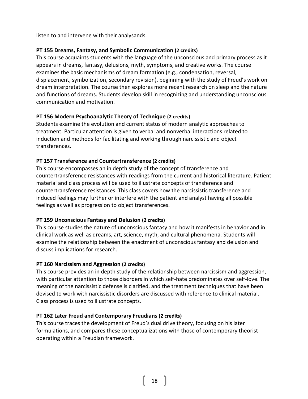listen to and intervene with their analysands.

# **PT 155 Dreams, Fantasy, and Symbolic Communication (2 credits)**

This course acquaints students with the language of the unconscious and primary process as it appears in dreams, fantasy, delusions, myth, symptoms, and creative works. The course examines the basic mechanisms of dream formation (e.g., condensation, reversal, displacement, symbolization, secondary revision), beginning with the study of Freud's work on dream interpretation. The course then explores more recent research on sleep and the nature and functions of dreams. Students develop skill in recognizing and understanding unconscious communication and motivation.

# **PT 156 Modern Psychoanalytic Theory of Technique (2 credits)**

Students examine the evolution and current status of modern analytic approaches to treatment. Particular attention is given to verbal and nonverbal interactions related to induction and methods for facilitating and working through narcissistic and object transferences.

# **PT 157 Transference and Countertransference (2 credits)**

This course encompasses an in depth study of the concept of transference and countertransference resistances with readings from the current and historical literature. Patient material and class process will be used to illustrate concepts of transference and countertransference resistances. This class covers how the narcissistic transference and induced feelings may further or interfere with the patient and analyst having all possible feelings as well as progression to object transferences.

# **PT 159 Unconscious Fantasy and Delusion (2 credits)**

This course studies the nature of unconscious fantasy and how it manifests in behavior and in clinical work as well as dreams, art, science, myth, and cultural phenomena. Students will examine the relationship between the enactment of unconscious fantasy and delusion and discuss implications for research.

# **PT 160 Narcissism and Aggression (2 credits)**

This course provides an in depth study of the relationship between narcissism and aggression, with particular attention to those disorders in which self-hate predominates over self-love. The meaning of the narcissistic defense is clarified, and the treatment techniques that have been devised to work with narcissistic disorders are discussed with reference to clinical material. Class process is used to illustrate concepts.

# **PT 162 Later Freud and Contemporary Freudians (2 credits)**

This course traces the development of Freud's dual drive theory, focusing on his later formulations, and compares these conceptualizations with those of contemporary theorist operating within a Freudian framework.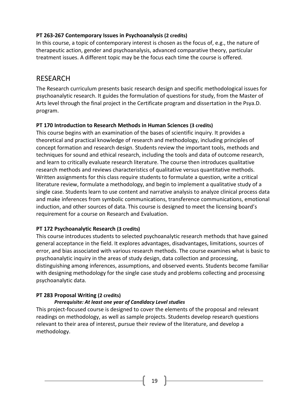## **PT 263-267 Contemporary Issues in Psychoanalysis (2 credits)**

In this course, a topic of contemporary interest is chosen as the focus of, e.g., the nature of therapeutic action, gender and psychoanalysis, advanced comparative theory, particular treatment issues. A different topic may be the focus each time the course is offered.

# <span id="page-18-0"></span>RESEARCH

The Research curriculum presents basic research design and specific methodological issues for psychoanalytic research. It guides the formulation of questions for study, from the Master of Arts level through the final project in the Certificate program and dissertation in the Psya.D. program.

# **PT 170 Introduction to Research Methods in Human Sciences (3 credits)**

This course begins with an examination of the bases of scientific inquiry. It provides a theoretical and practical knowledge of research and methodology, including principles of concept formation and research design. Students review the important tools, methods and techniques for sound and ethical research, including the tools and data of outcome research, and learn to critically evaluate research literature. The course then introduces qualitative research methods and reviews characteristics of qualitative versus quantitative methods. Written assignments for this class require students to formulate a question, write a critical literature review, formulate a methodology, and begin to implement a qualitative study of a single case. Students learn to use content and narrative analysis to analyze clinical process data and make inferences from symbolic communications, transference communications, emotional induction, and other sources of data. This course is designed to meet the licensing board's requirement for a course on Research and Evaluation.

# **PT 172 Psychoanalytic Research (3 credits)**

This course introduces students to selected psychoanalytic research methods that have gained general acceptance in the field. It explores advantages, disadvantages, limitations, sources of error, and bias associated with various research methods. The course examines what is basic to psychoanalytic inquiry in the areas of study design, data collection and processing, distinguishing among inferences, assumptions, and observed events. Students become familiar with designing methodology for the single case study and problems collecting and processing psychoanalytic data.

# **PT 283 Proposal Writing (2 credits)**

#### *Prerequisite: At least one year of Candidacy Level studies*

This project-focused course is designed to cover the elements of the proposal and relevant readings on methodology, as well as sample projects. Students develop research questions relevant to their area of interest, pursue their review of the literature, and develop a methodology.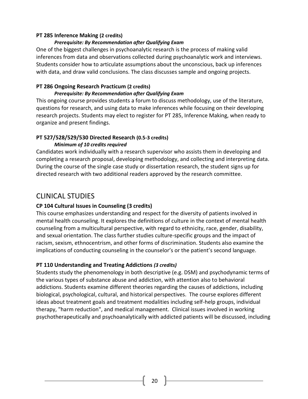#### **PT 285 Inference Making (2 credits)**

# *Prerequisite: By Recommendation after Qualifying Exam*

One of the biggest challenges in psychoanalytic research is the process of making valid inferences from data and observations collected during psychoanalytic work and interviews. Students consider how to articulate assumptions about the unconscious, back up inferences with data, and draw valid conclusions. The class discusses sample and ongoing projects.

# **PT 286 Ongoing Research Practicum (2 credits)**

### *Prerequisite: By Recommendation after Qualifying Exam*

This ongoing course provides students a forum to discuss methodology, use of the literature, questions for research, and using data to make inferences while focusing on their developing research projects. Students may elect to register for PT 285, Inference Making, when ready to organize and present findings.

# **PT 527/528/529/530 Directed Research (0.5-3 credits)** *Minimum of 10 credits required*

Candidates work individually with a research supervisor who assists them in developing and completing a research proposal, developing methodology, and collecting and interpreting data. During the course of the single case study or dissertation research, the student signs up for directed research with two additional readers approved by the research committee.

# <span id="page-19-0"></span>CLINICAL STUDIES

# **CP 104 Cultural Issues in Counseling (3 credits)**

This course emphasizes understanding and respect for the diversity of patients involved in mental health counseling. It explores the definitions of culture in the context of mental health counseling from a multicultural perspective, with regard to ethnicity, race, gender, disability, and sexual orientation. The class further studies culture-specific groups and the impact of racism, sexism, ethnocentrism, and other forms of discrimination. Students also examine the implications of conducting counseling in the counselor's or the patient's second language.

# **PT 110 Understanding and Treating Addictions** *(3 credits)*

Students study the phenomenology in both descriptive (e.g. DSM) and psychodynamic terms of the various types of substance abuse and addiction, with attention also to behavioral addictions. Students examine different theories regarding the causes of addictions, including biological, psychological, cultural, and historical perspectives. The course explores different ideas about treatment goals and treatment modalities including self-help groups, individual therapy, "harm reduction", and medical management. Clinical issues involved in working psychotherapeutically and psychoanalytically with addicted patients will be discussed, including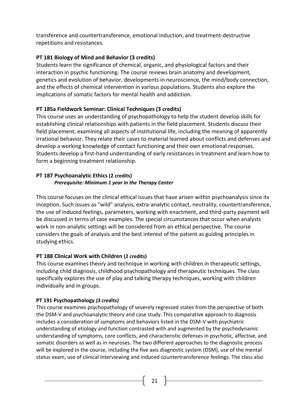transference and countertransference, emotional induction, and treatment-destructive repetitions and resistances.

# **PT 181 Biology of Mind and Behavior (3 credits)**

Students learn the significance of chemical, organic, and physiological factors and their interaction in psychic functioning. The course reviews brain anatomy and development, genetics and evolution of behavior, developments in neuroscience, the mind/body connection, and the effects of chemical intervention in various populations. Students also explore the implications of somatic factors for mental health and addiction.

# **PT 185a Fieldwork Seminar: Clinical Techniques (3 credits)**

This course uses an understanding of psychopathology to help the student develop skills for establishing clinical relationships with patients in the field placement. Students discuss their field placement, examining all aspects of institutional life, including the meaning of apparently irrational behavior. They relate their cases to material learned about conflicts and defenses and develop a working knowledge of contact functioning and their own emotional responses. Students develop a first-hand understanding of early resistances in treatment and learn how to form a beginning treatment relationship.

# **PT 187 Psychoanalytic Ethics (2 credits)** *Prerequisite: Minimum 1 year in the Therapy Center*

This course focuses on the clinical ethical issues that have arisen within psychoanalysis since its inception. Such issues as "wild" analysis, extra-analytic contact, neutrality, countertransference, the use of induced feelings, parameters, working with enactment, and third-party payment will be discussed in terms of case examples. The special circumstances that occur when analysts work in non-analytic settings will be considered from an ethical perspective. The course considers the goals of analysis and the best interest of the patient as guiding principles in studying ethics.

# **PT 188 Clinical Work with Children (2 credits)**

This course examines theory and technique in working with children in therapeutic settings, including child diagnosis, childhood psychopathology and therapeutic techniques. The class specifically explores the use of play and talking therapy techniques, working with children individually and in groups.

# **PT 191 Psychopathology** *(3 credits)*

This course examines psychopathology of severely regressed states from the perspective of both the DSM-V and psychoanalytic theory and case study. This comparative approach to diagnosis includes a consideration of symptoms and behaviors listed in the DSM-V with psychiatric understanding of etiology and function contrasted with and augmented by the psychodynamic understanding of symptoms, core conflicts, and characteristic defenses in psychotic, affective, and somatic disorders as well as in neuroses. The two different approaches to the diagnostic process will be explored in the course, including the five axis diagnostic system (DSM), use of the mental status exam, use of clinical interviewing and induced countertransference feelings. The class also

21  $\|$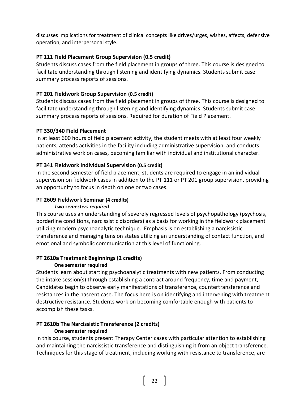discusses implications for treatment of clinical concepts like drives/urges, wishes, affects, defensive operation, and interpersonal style.

# **PT 111 Field Placement Group Supervision (0.5 credit)**

Students discuss cases from the field placement in groups of three. This course is designed to facilitate understanding through listening and identifying dynamics. Students submit case summary process reports of sessions.

# **PT 201 Fieldwork Group Supervision (0.5 credit)**

Students discuss cases from the field placement in groups of three. This course is designed to facilitate understanding through listening and identifying dynamics. Students submit case summary process reports of sessions. Required for duration of Field Placement.

# **PT 330/340 Field Placement**

In at least 600 hours of field placement activity, the student meets with at least four weekly patients, attends activities in the facility including administrative supervision, and conducts administrative work on cases, becoming familiar with individual and institutional character.

# **PT 341 Fieldwork Individual Supervision (0.5 credit)**

In the second semester of field placement, students are required to engage in an individual supervision on fieldwork cases in addition to the PT 111 or PT 201 group supervision, providing an opportunity to focus in depth on one or two cases.

# **PT 2609 Fieldwork Seminar (4 credits)**

# *Two semesters required*

This course uses an understanding of severely regressed levels of psychopathology (psychosis, borderline conditions, narcissistic disorders) as a basis for working in the fieldwork placement utilizing modern psychoanalytic technique. Emphasis is on establishing a narcissistic transference and managing tension states utilizing an understanding of contact function, and emotional and symbolic communication at this level of functioning.

# **PT 2610a Treatment Beginnings (2 credits)**

# **One semester required**

Students learn about starting psychoanalytic treatments with new patients. From conducting the intake session(s) through establishing a contract around frequency, time and payment, Candidates begin to observe early manifestations of transference, countertransference and resistances in the nascent case. The focus here is on identifying and intervening with treatment destructive resistance. Students work on becoming comfortable enough with patients to accomplish these tasks.

# **PT 2610b The Narcissistic Transference (2 credits)**

# **One semester required**

In this course, students present Therapy Center cases with particular attention to establishing and maintaining the narcissistic transference and distinguishing it from an object transference. Techniques for this stage of treatment, including working with resistance to transference, are

22  $\parallel$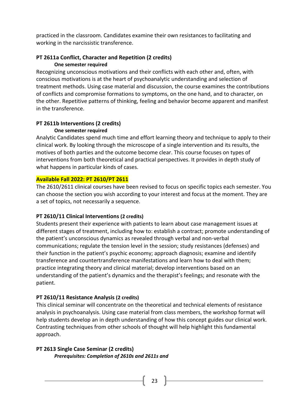practiced in the classroom. Candidates examine their own resistances to facilitating and working in the narcissistic transference.

#### **PT 2611a Conflict, Character and Repetition (2 credits) One semester required**

Recognizing unconscious motivations and their conflicts with each other and, often, with conscious motivations is at the heart of psychoanalytic understanding and selection of treatment methods. Using case material and discussion, the course examines the contributions of conflicts and compromise formations to symptoms, on the one hand, and to character, on the other. Repetitive patterns of thinking, feeling and behavior become apparent and manifest in the transference.

#### **PT 2611b Interventions (2 credits) One semester required**

Analytic Candidates spend much time and effort learning theory and technique to apply to their clinical work. By looking through the microscope of a single intervention and its results, the motives of both parties and the outcome become clear. This course focuses on types of interventions from both theoretical and practical perspectives. It provides in depth study of what happens in particular kinds of cases.

#### **Available Fall 2022: PT 2610/PT 2611**

The 2610/2611 clinical courses have been revised to focus on specific topics each semester. You can choose the section you wish according to your interest and focus at the moment. They are a set of topics, not necessarily a sequence.

# **PT 2610/11 Clinical Interventions (2 credits)**

Students present their experience with patients to learn about case management issues at different stages of treatment, including how to: establish a contract; promote understanding of the patient's unconscious dynamics as revealed through verbal and non-verbal communications; regulate the tension level in the session; study resistances (defenses) and their function in the patient's psychic economy; approach diagnosis; examine and identify transference and countertransference manifestations and learn how to deal with them; practice integrating theory and clinical material; develop interventions based on an understanding of the patient's dynamics and the therapist's feelings; and resonate with the patient.

# **PT 2610/11 Resistance Analysis (2 credits)**

This clinical seminar will concentrate on the theoretical and technical elements of resistance analysis in psychoanalysis. Using case material from class members, the workshop format will help students develop an in depth understanding of how this concept guides our clinical work. Contrasting techniques from other schools of thought will help highlight this fundamental approach.

**PT 2613 Single Case Seminar (2 credits)** *Prerequisites: Completion of 2610s and 2611s and*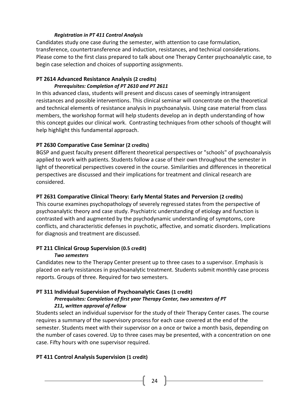#### *Registration in PT 411 Control Analysis*

Candidates study one case during the semester, with attention to case formulation, transference, countertransference and induction, resistances, and technical considerations. Please come to the first class prepared to talk about one Therapy Center psychoanalytic case, to begin case selection and choices of supporting assignments.

# **PT 2614 Advanced Resistance Analysis (2 credits)**

#### *Prerequisites: Completion of PT 2610 and PT 2611*

In this advanced class, students will present and discuss cases of seemingly intransigent resistances and possible interventions. This clinical seminar will concentrate on the theoretical and technical elements of resistance analysis in psychoanalysis. Using case material from class members, the workshop format will help students develop an in depth understanding of how this concept guides our clinical work. Contrasting techniques from other schools of thought will help highlight this fundamental approach.

# **PT 2630 Comparative Case Seminar (2 credits)**

BGSP and guest faculty present different theoretical perspectives or "schools" of psychoanalysis applied to work with patients. Students follow a case of their own throughout the semester in light of theoretical perspectives covered in the course. Similarities and differences in theoretical perspectives are discussed and their implications for treatment and clinical research are considered.

# **PT 2631 Comparative Clinical Theory: Early Mental States and Perversion (2 credits)**

This course examines psychopathology of severely regressed states from the perspective of psychoanalytic theory and case study. Psychiatric understanding of etiology and function is contrasted with and augmented by the psychodynamic understanding of symptoms, core conflicts, and characteristic defenses in psychotic, affective, and somatic disorders. Implications for diagnosis and treatment are discussed.

#### **PT 211 Clinical Group Supervision (0.5 credit)** *Two semesters*

Candidates new to the Therapy Center present up to three cases to a supervisor. Emphasis is placed on early resistances in psychoanalytic treatment. Students submit monthly case process reports. Groups of three. Required for two semesters.

#### **PT 311 Individual Supervision of Psychoanalytic Cases (1 credit)** *Prerequisites: Completion of first year Therapy Center, two semesters of PT*

# *211, written approval of Fellow*

Students select an individual supervisor for the study of their Therapy Center cases. The course requires a summary of the supervisory process for each case covered at the end of the semester. Students meet with their supervisor on a once or twice a month basis, depending on the number of cases covered. Up to three cases may be presented, with a concentration on one case. Fifty hours with one supervisor required.

# **PT 411 Control Analysis Supervision (1 credit)**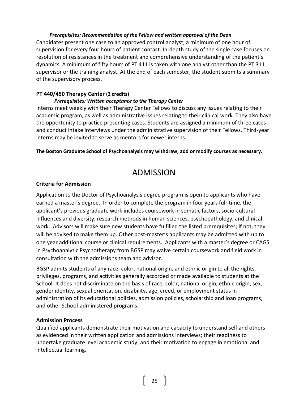#### *Prerequisites: Recommendation of the Fellow and written approval of the Dean*

Candidates present one case to an approved control analyst, a minimum of one hour of supervision for every four hours of patient contact. In-depth study of the single case focuses on resolution of resistances in the treatment and comprehensive understanding of the patient's dynamics. A minimum of fifty hours of PT 411 is taken with one analyst other than the PT 311 supervisor or the training analyst. At the end of each semester, the student submits a summary of the supervisory process.

# **PT 440/450 Therapy Center (2 credits)**

#### *Prerequisites: Written acceptance to the Therapy Center*

Interns meet weekly with their Therapy Center Fellows to discuss any issues relating to their academic program, as well as administrative issues relating to their clinical work. They also have the opportunity to practice presenting cases. Students are assigned a minimum of three cases and conduct intake interviews under the administrative supervision of their Fellows. Third-year interns may be invited to serve as mentors for newer interns.

#### <span id="page-24-0"></span>**The Boston Graduate School of Psychoanalysis may withdraw, add or modify courses as necessary.**

# ADMISSION

# **Criteria for Admission**

Application to the Doctor of Psychoanalysis degree program is open to applicants who have earned a master's degree. In order to complete the program in four years full-time, the applicant's previous graduate work includes coursework in somatic factors, socio-cultural influences and diversity, research methods in human sciences, psychopathology, and clinical work. Advisors will make sure new students have fulfilled the listed prerequisites; if not, they will be advised to make them up. Other post-master's applicants may be admitted with up to one year additional course or clinical requirements. Applicants with a master's degree or CAGS in Psychoanalytic Psychotherapy from BGSP may waive certain coursework and field work in consultation with the admissions team and advisor.

BGSP admits students of any race, color, national origin, and ethnic origin to all the rights, privileges, programs, and activities generally accorded or made available to students at the School. It does not discriminate on the basis of race, color, national origin, ethnic origin, sex, gender identity, sexual orientation, disability, age, creed, or employment status in administration of its educational policies, admission policies, scholarship and loan programs, and other School-administered programs.

# **Admission Process**

Qualified applicants demonstrate their motivation and capacity to understand self and others as evidenced in their written application and admissions interviews; their readiness to undertake graduate level academic study; and their motivation to engage in emotional and intellectual learning.